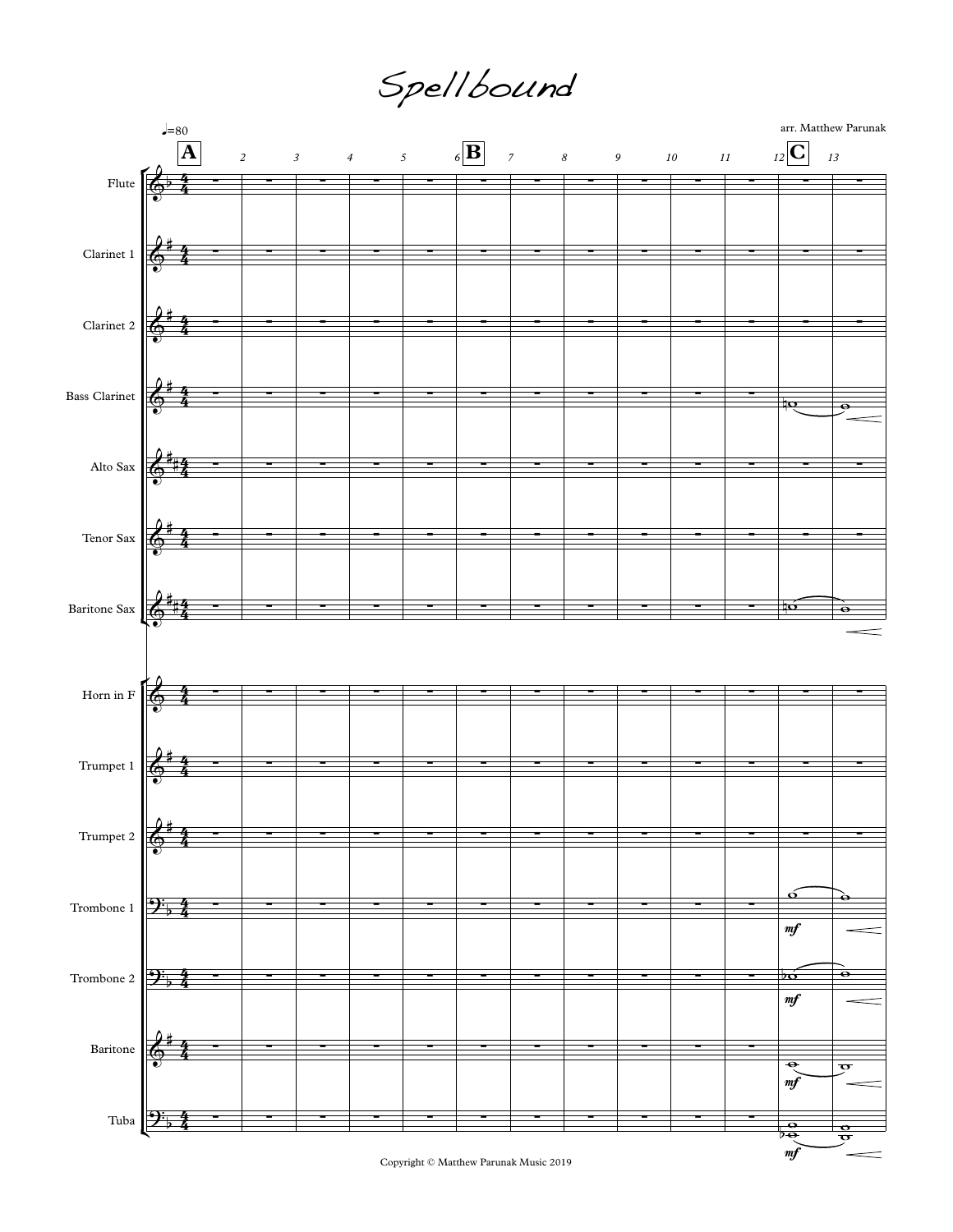Spellbound



Copyright © Matthew Parunak Music 2019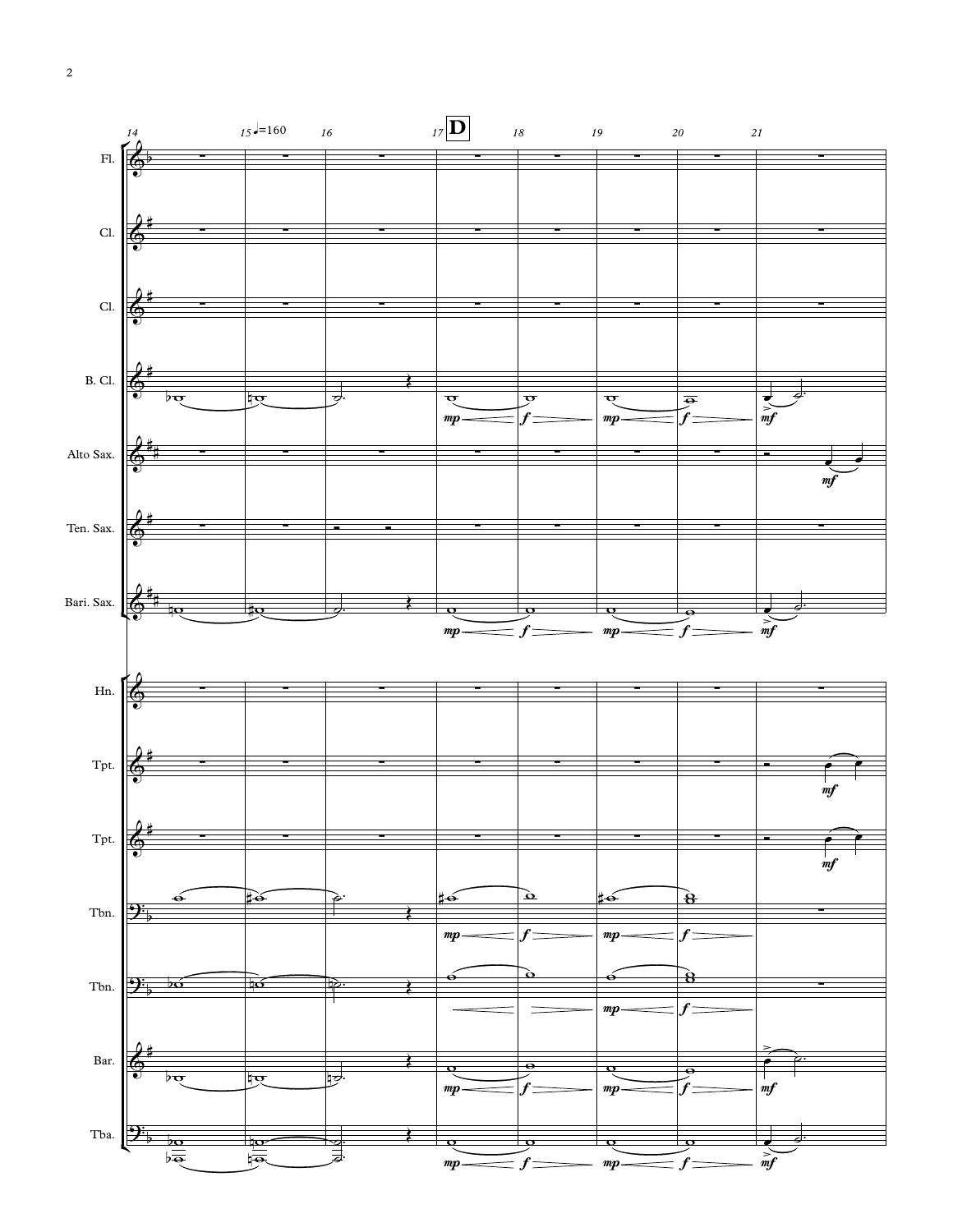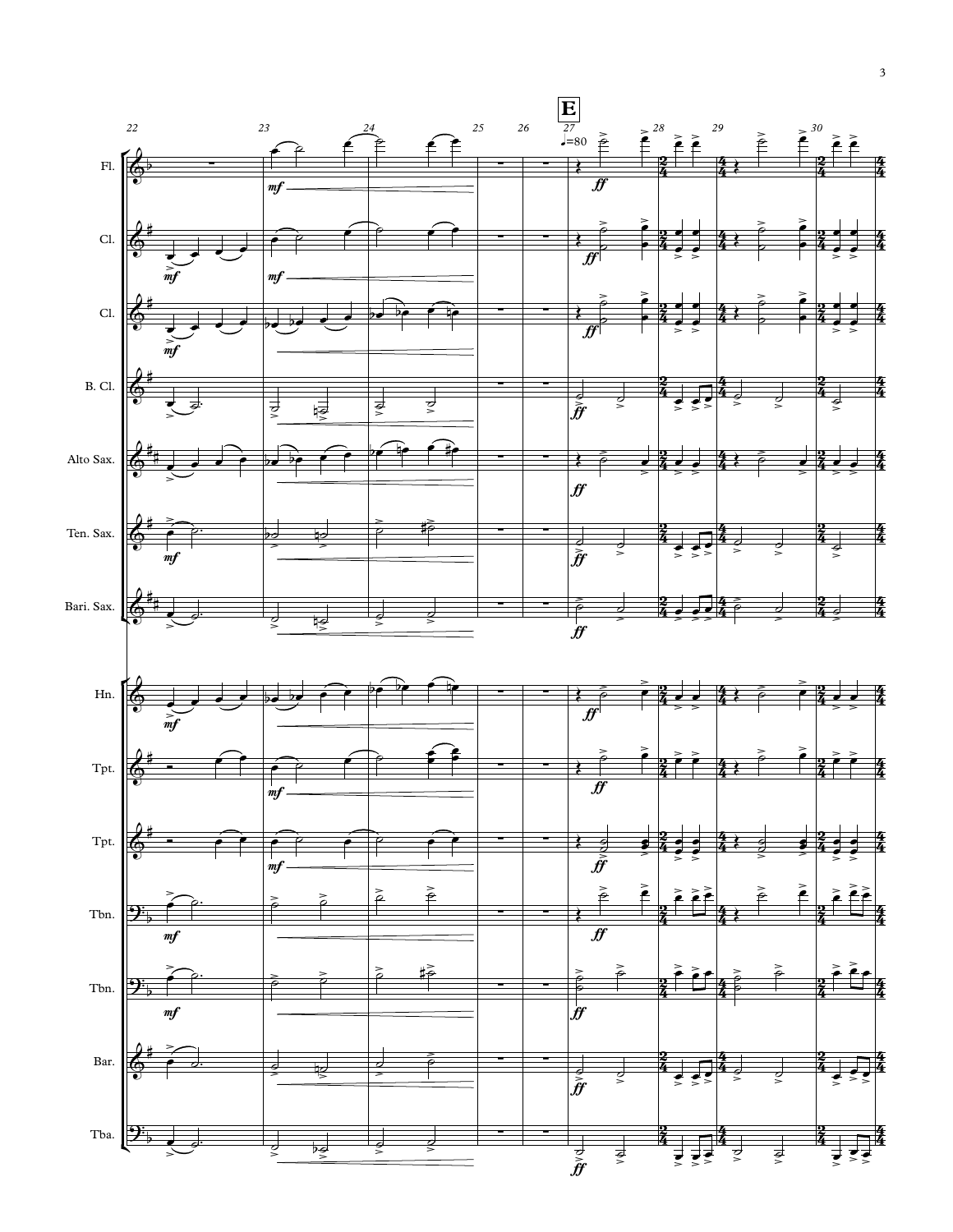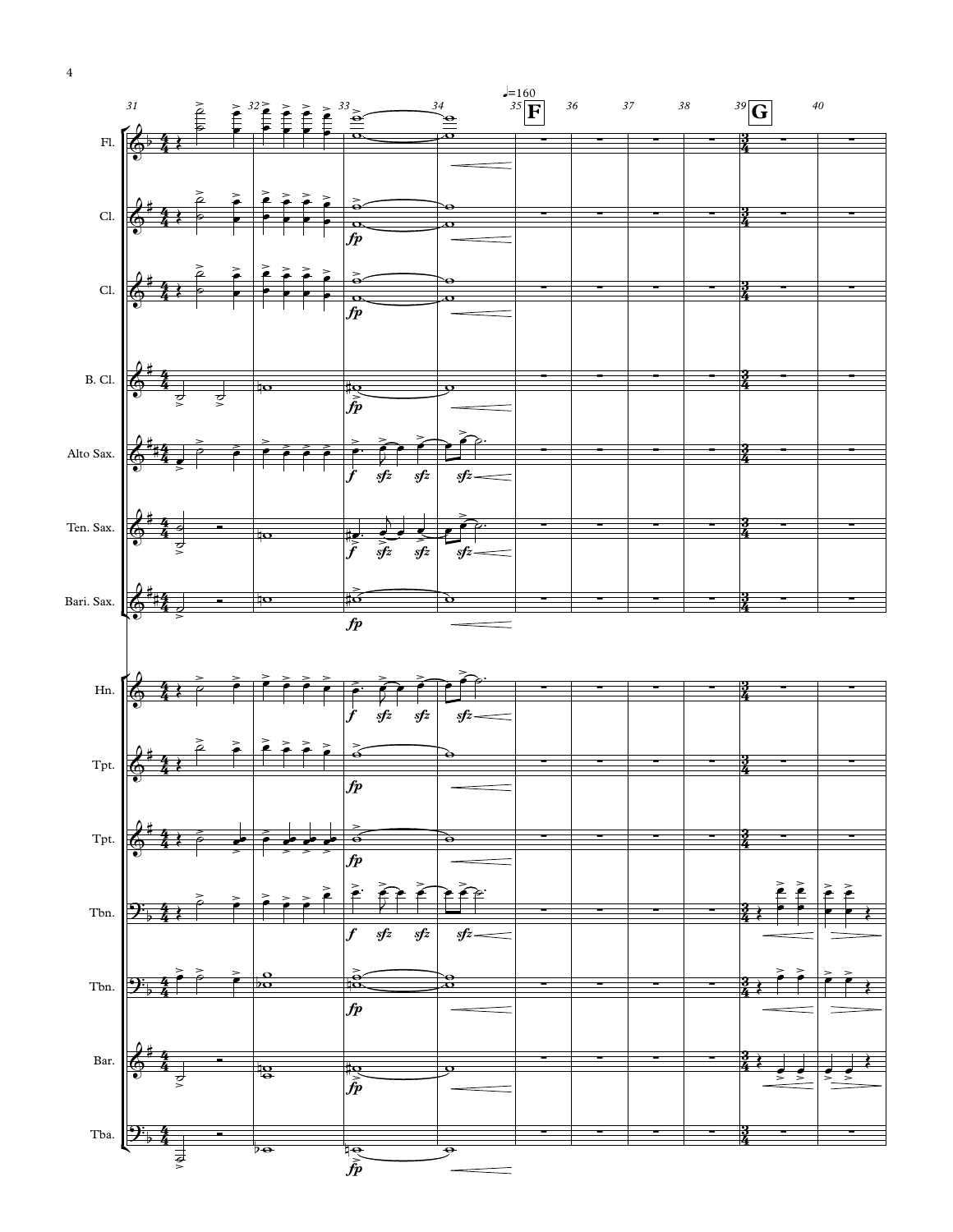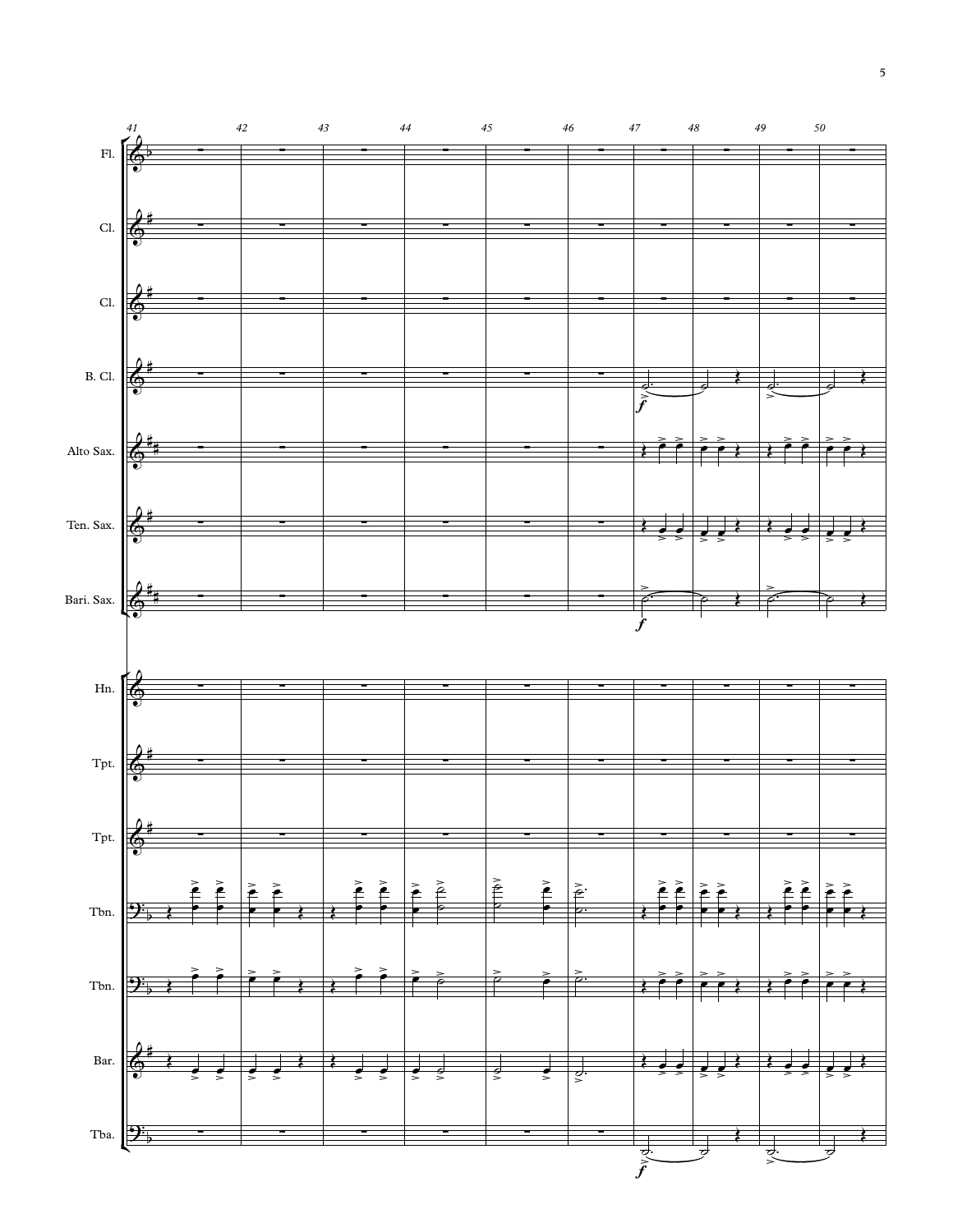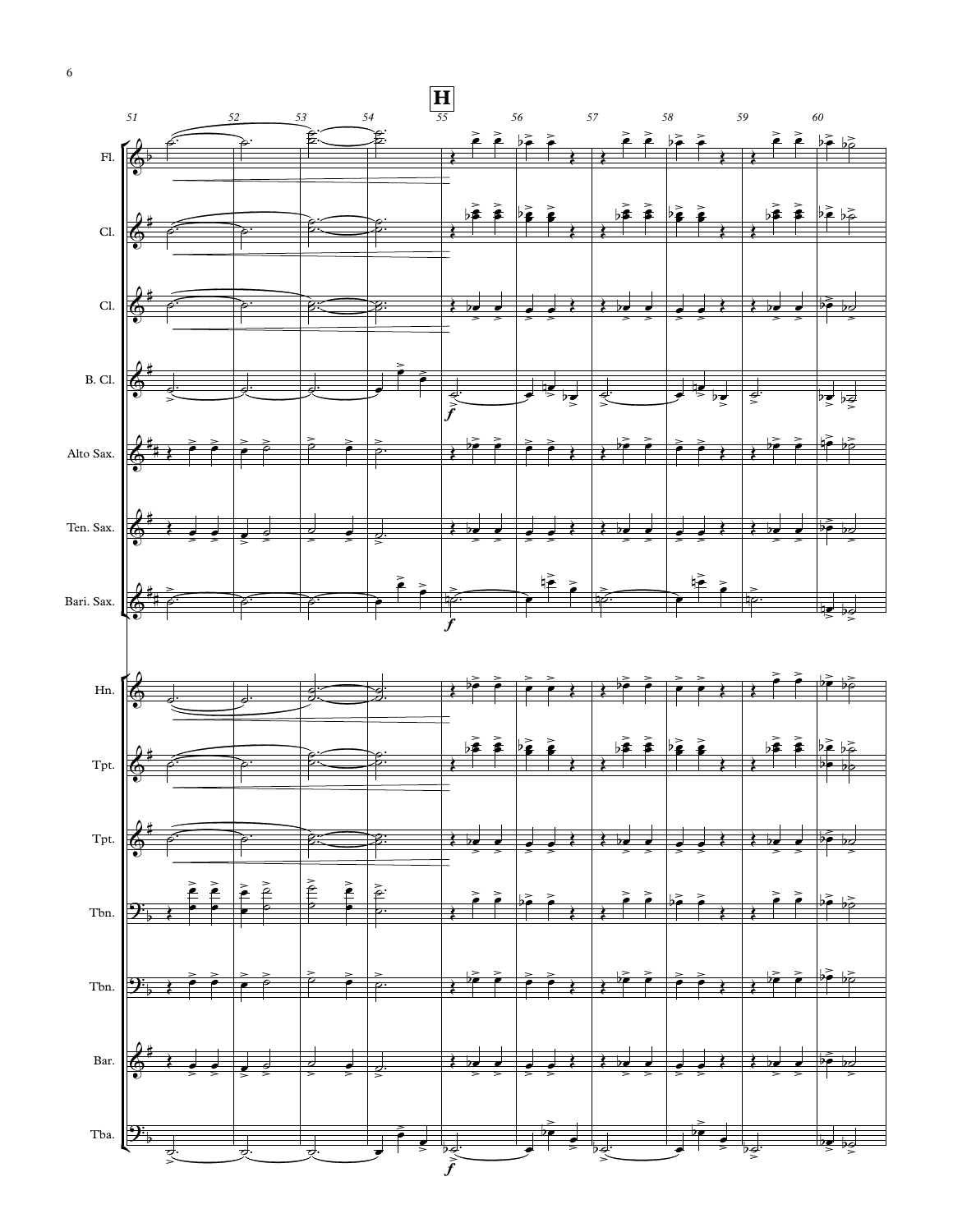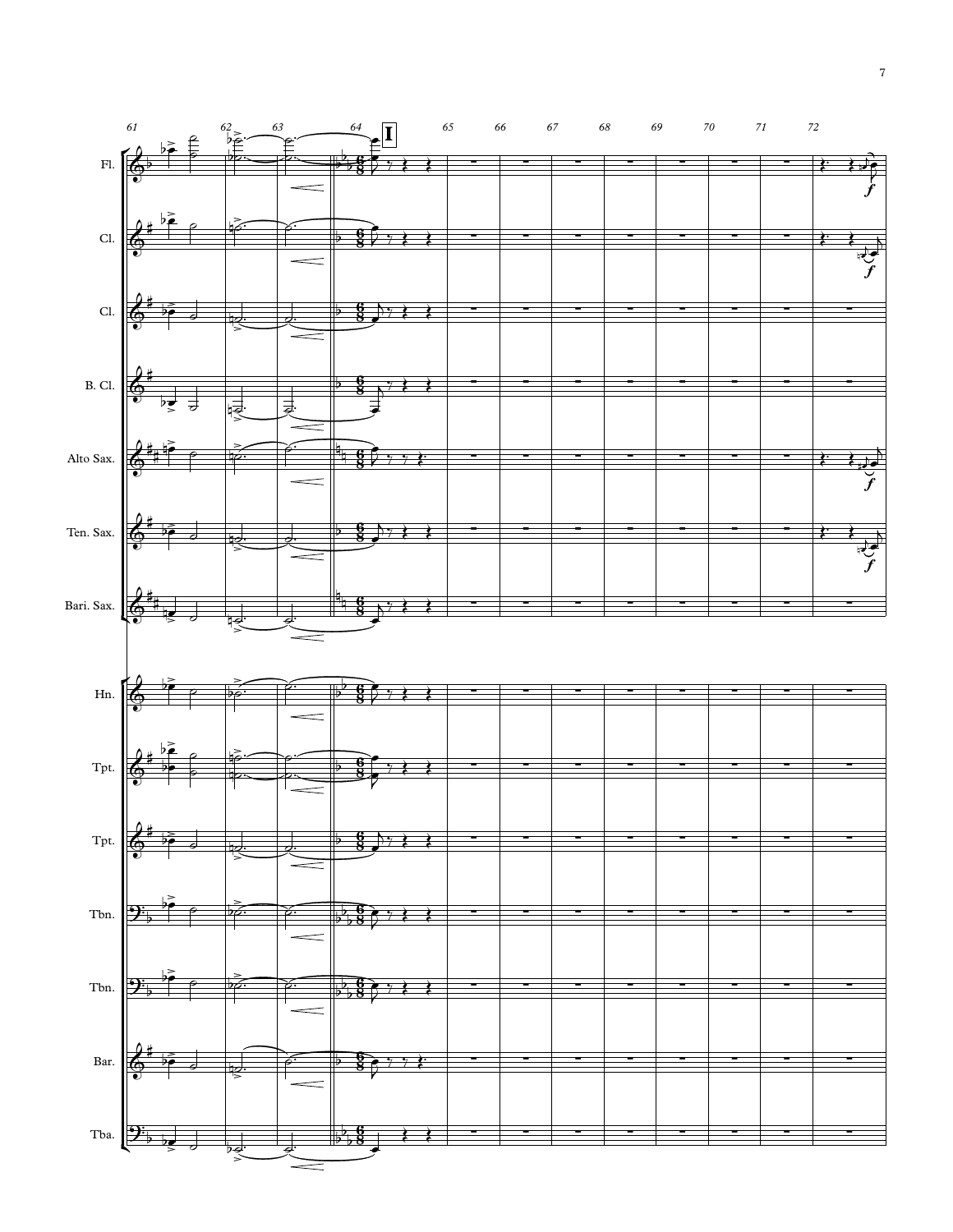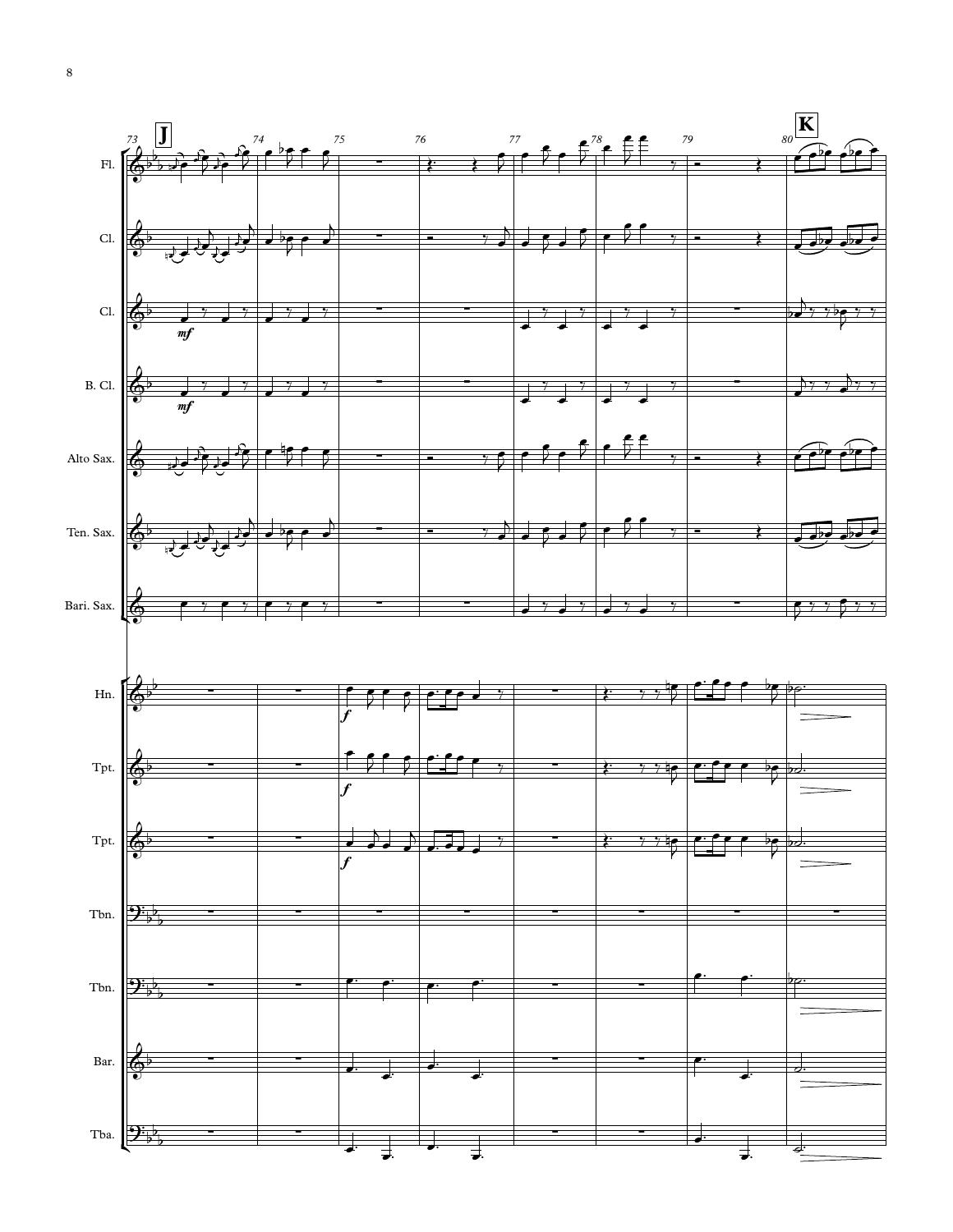![](_page_7_Figure_0.jpeg)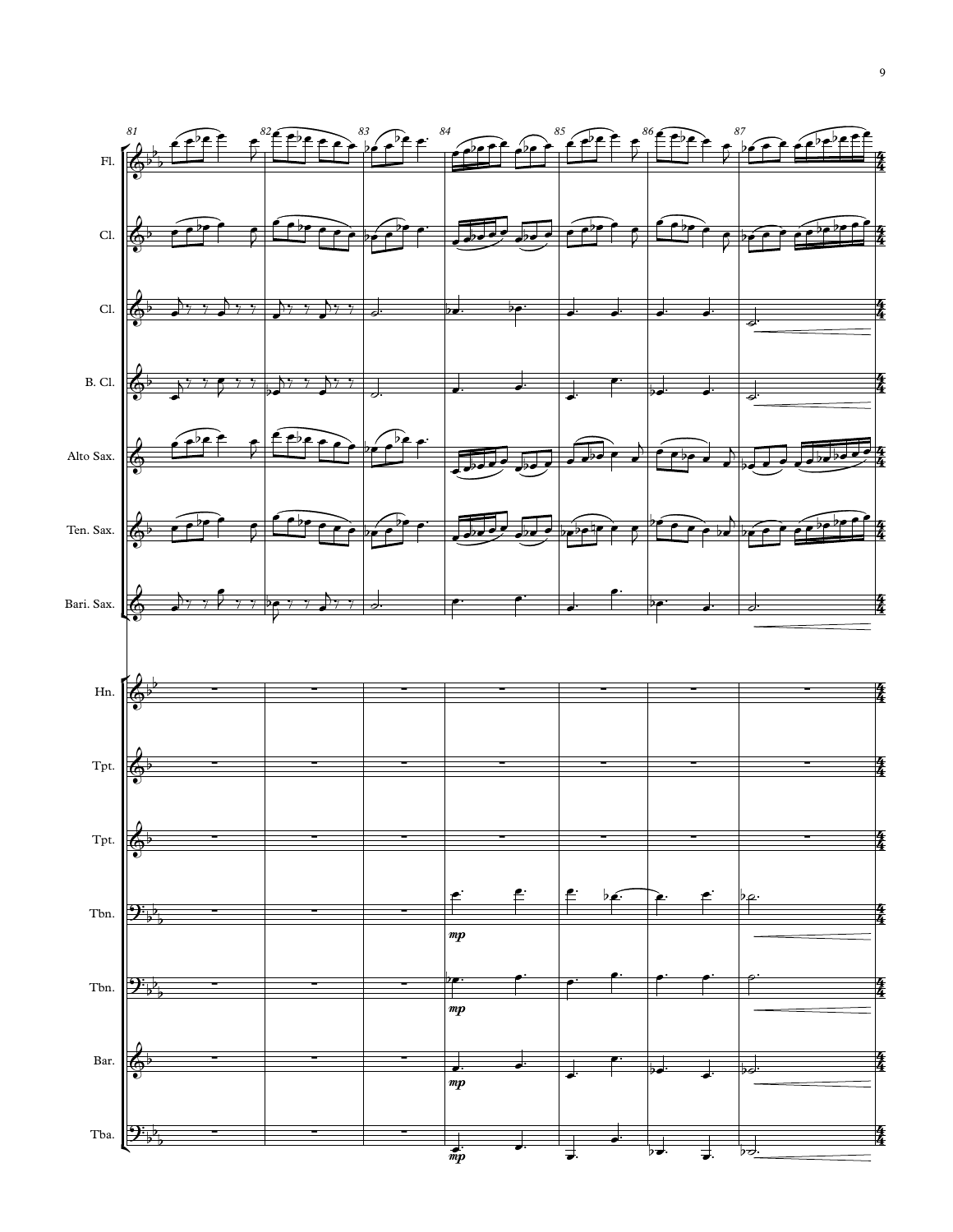![](_page_8_Figure_0.jpeg)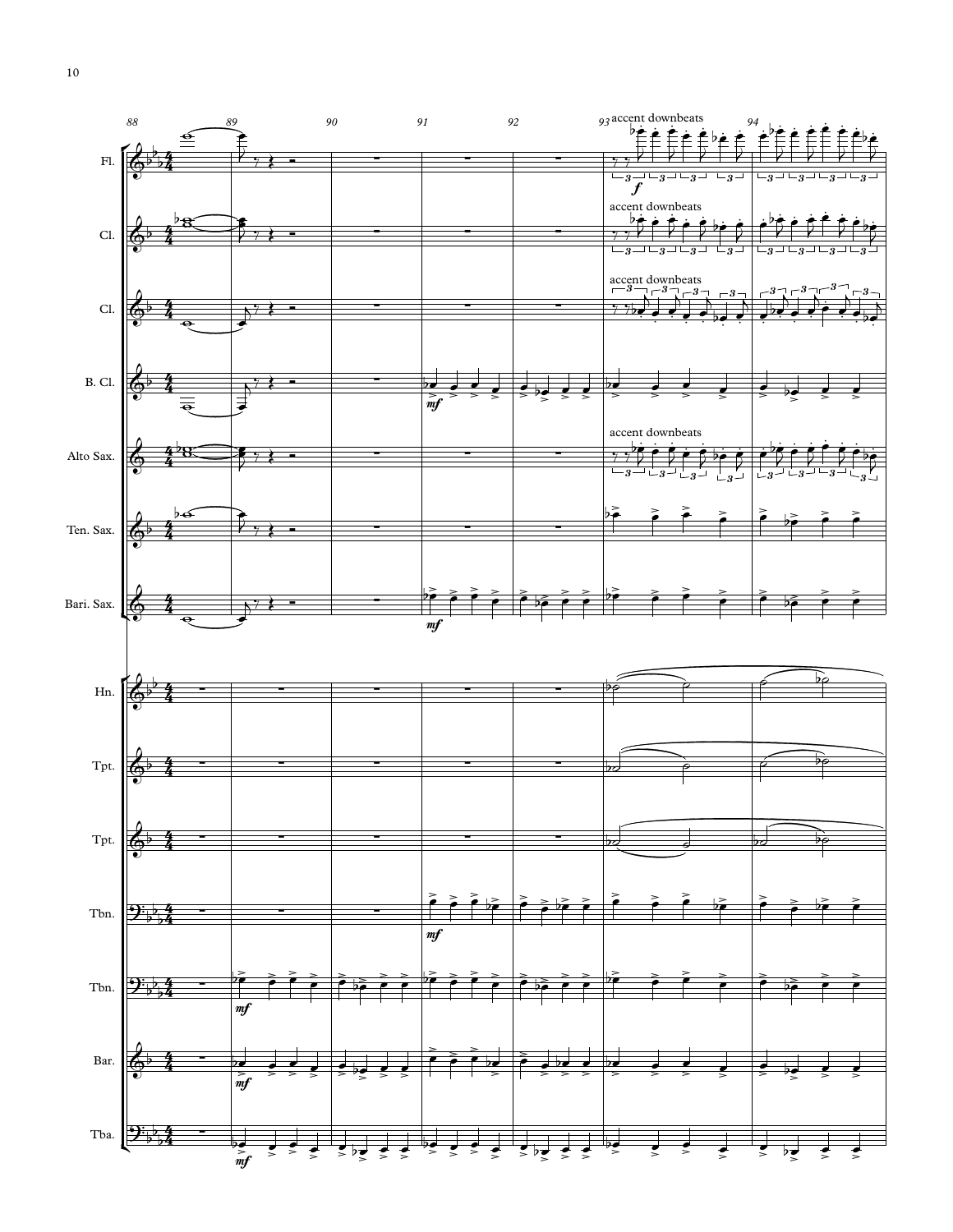![](_page_9_Figure_0.jpeg)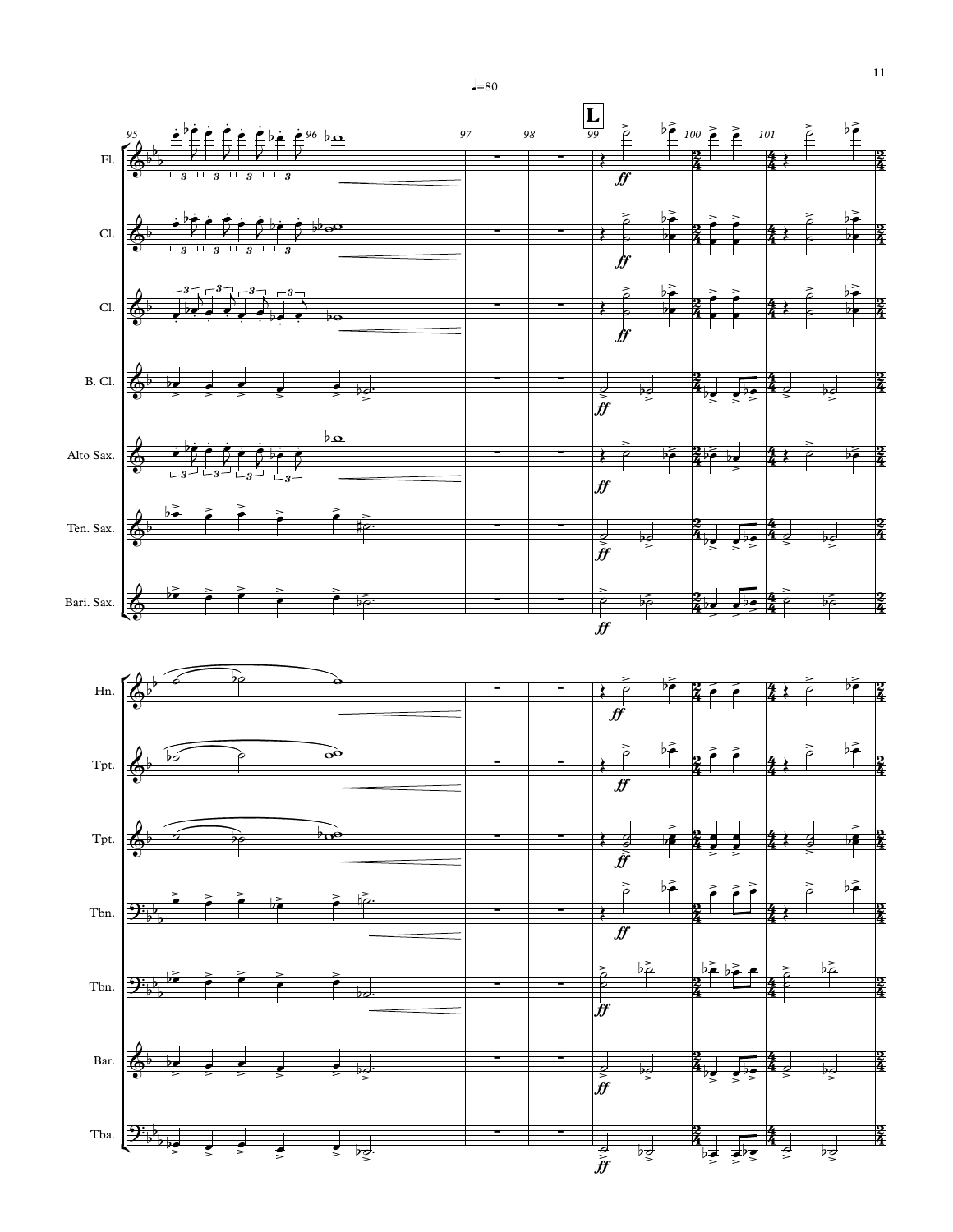![](_page_10_Figure_0.jpeg)